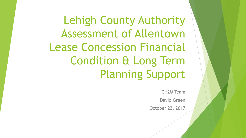Lehigh County Authority Assessment of Allentown Lease Concession Financial Condition & Long Term Planning Support

CH2M Team

David Green

October 23, 2017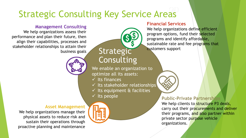# Strategic Consulting Key Service Areas

### **Management Consulting**

We help organizations assess their performance and plan their future, then align their capabilities, processes and stakeholder relationships to attain their business goals



### **Asset Management**

We help organizations manage their physical assets to reduce risk and sustain their operations through proactive planning and maintenance

We help organizations define efficient program options, fund their selected programs and identify affordable, sustainable rate and fee programs that customers support

**Financial Services**

We enable an organization to optimize all its assets:

**Strategic** 

Consulting

- $\checkmark$  Its finances
- $\checkmark$  Its stakeholder relationships
- $\checkmark$  Its equipment & facilities
- $\checkmark$  Its people



We help clients to structure P3 deals, carry out their procurements and deliver their programs, and also partner within private sector purpose vehicle organizations.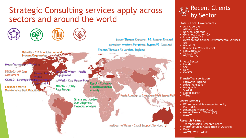# Strategic Consulting services apply across sectors and around the world



Melbourne Water – CMMS Support Services

Kuala Lumpur to Singapore High Speed Rail



#### **State & Local Governments**

- Ann Arbor, MI
- Atlanta, GA
- Denver, Colorado
- Gwinnett County, GA
- Los Angeles, CA
- Metropolitan Council Environmental Services (MN)
- Miami, FL
- **Rancho CA Water District**
- San Mateo, CA
- Seattle, WA
- Wichita, KS

#### **Private Sector**

- Honda
- Shell
- Dow
- GASCO

#### **Transit/Transportation**

- Highways England
- Metro Vancouver
- Macquarie
- SEATAC
- Sound Transit
- TriMet

#### **Utility Services**

- DC Water and Sewerage Authority
- PG&E (CA)
- Melbourne Water (AUS)
- Mount Pleasant Water (SC)
- MAWWS

#### **Research Partners**

- Transportation Research Board
- Water Services Association of Australia
- PWA
- AWWA, WRF, WERF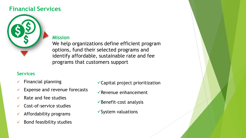# **Financial Services**



# **Mission**

We help organizations define efficient program options, fund their selected programs and identify affordable, sustainable rate and fee programs that customers support

## **Services**

- $\checkmark$  Financial planning
- $\times$  Expense and revenue forecasts
- $\checkmark$  Rate and fee studies
- $\checkmark$  Cost-of-service studies
- $\checkmark$  Affordability programs
- $\checkmark$  Bond feasibility studies
- $\checkmark$  Capital project prioritization
- $\sqrt{\text{Re}}$ venue enhancement
- $\checkmark$ Benefit-cost analysis
- $\checkmark$ System valuations